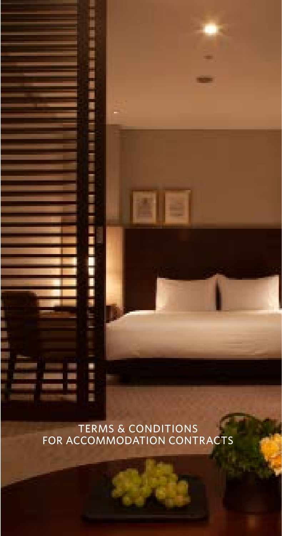TERMS & CONDITIONS FOR ACCOMMODATION CONTRACTS

Ē

**第2条 100 元**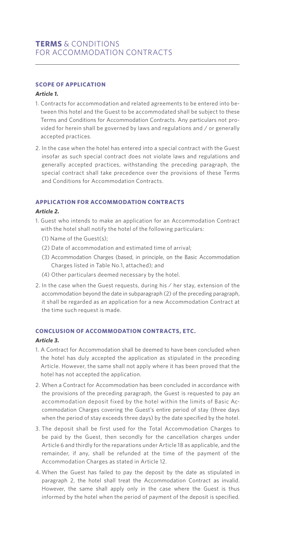# **SCOPE OF APPLICATION**

#### *Article 1.*

- 1. Contracts for accommodation and related agreements to be entered into between this hotel and the Guest to be accommodated shall be subject to these Terms and Conditions for Accommodation Contracts. Any particulars not provided for herein shall be governed by laws and regulations and / or generally accepted practices.
- 2. In the case when the hotel has entered into a special contract with the Guest insofar as such special contract does not violate laws and regulations and generally accepted practices, withstanding the preceding paragraph, the special contract shall take precedence over the provisions of these Terms and Conditions for Accommodation Contracts.

# **APPLICATION FOR ACCOMMODATION CONTRACTS**

#### *Article 2.*

- 1. Guest who intends to make an application for an Accommodation Contract with the hotel shall notify the hotel of the following particulars:
	- (1) Name of the Guest(s);
	- (2) Date of accommodation and estimated time of arrival;
	- (3) Accommodation Charges (based, in principle, on the Basic Accommodation Charges listed in Table No.1, attached); and
	- (4) Other particulars deemed necessary by the hotel.
- 2. In the case when the Guest requests, during his / her stay, extension of the accommodation beyond the date in subparagraph (2) of the preceding paragraph, it shall be regarded as an application for a new Accommodation Contract at the time such request is made.

#### **CONCLUSION OF ACCOMMODATION CONTRACTS, ETC.**

#### *Article 3.*

- 1. A Contract for Accommodation shall be deemed to have been concluded when the hotel has duly accepted the application as stipulated in the preceding Article. However, the same shall not apply where it has been proved that the hotel has not accepted the application.
- 2. When a Contract for Accommodation has been concluded in accordance with the provisions of the preceding paragraph, the Guest is requested to pay an accommodation deposit fixed by the hotel within the limits of Basic Accommodation Charges covering the Guest's entire period of stay (three days when the period of stay exceeds three days) by the date specified by the hotel.
- 3. The deposit shall be first used for the Total Accommodation Charges to be paid by the Guest, then secondly for the cancellation charges under Article 6 and thirdly for the reparations under Article 18 as applicable, and the remainder, if any, shall be refunded at the time of the payment of the Accommodation Charges as stated in Article 12.
- 4. When the Guest has failed to pay the deposit by the date as stipulated in paragraph 2, the hotel shall treat the Accommodation Contract as invalid. However, the same shall apply only in the case where the Guest is thus informed by the hotel when the period of payment of the deposit is specified.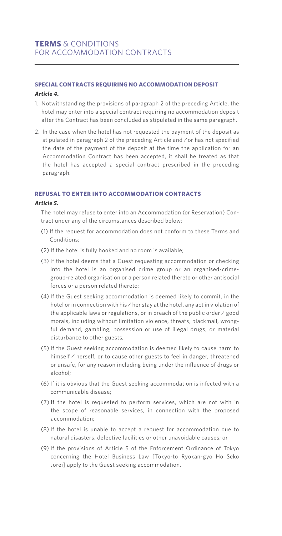## **SPECIAL CONTRACTS REQUIRING NO ACCOMMODATION DEPOSIT**

#### *Article 4.*

- 1. Notwithstanding the provisions of paragraph 2 of the preceding Article, the hotel may enter into a special contract requiring no accommodation deposit after the Contract has been concluded as stipulated in the same paragraph.
- 2. In the case when the hotel has not requested the payment of the deposit as stipulated in paragraph 2 of the preceding Article and / or has not specified the date of the payment of the deposit at the time the application for an Accommodation Contract has been accepted, it shall be treated as that the hotel has accepted a special contract prescribed in the preceding paragraph.

#### **REFUSAL TO ENTER INTO ACCOMMODATION CONTRACTS**

#### *Article 5.*

 The hotel may refuse to enter into an Accommodation (or Reservation) Contract under any of the circumstances described below:

- (1) If the request for accommodation does not conform to these Terms and Conditions;
- (2) If the hotel is fully booked and no room is available;
- (3) If the hotel deems that a Guest requesting accommodation or checking into the hotel is an organised crime group or an organised-crimegroup-related organisation or a person related thereto or other antisocial forces or a person related thereto;
- (4) If the Guest seeking accommodation is deemed likely to commit, in the hotel or in connection with his / her stay at the hotel, any act in violation of the applicable laws or regulations, or in breach of the public order / good morals, including without limitation violence, threats, blackmail, wrongful demand, gambling, possession or use of illegal drugs, or material disturbance to other guests;
- (5) If the Guest seeking accommodation is deemed likely to cause harm to himself / herself, or to cause other guests to feel in danger, threatened or unsafe, for any reason including being under the influence of drugs or alcohol;
- (6) If it is obvious that the Guest seeking accommodation is infected with a communicable disease;
- (7) If the hotel is requested to perform services, which are not with in the scope of reasonable services, in connection with the proposed accommodation;
- (8) If the hotel is unable to accept a request for accommodation due to natural disasters, defective facilities or other unavoidable causes; or
- (9) If the provisions of Article 5 of the Enforcement Ordinance of Tokyo concerning the Hotel Business Law [Tokyo-to Ryokan-gyo Ho Seko Jorei] apply to the Guest seeking accommodation.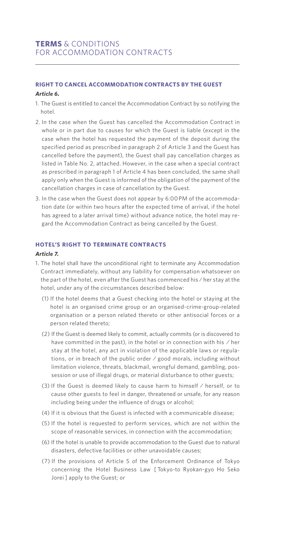# **RIGHT TO CANCEL ACCOMMODATION CONTRACTS BY THE GUEST**

#### *Article 6.*

- 1. The Guest is entitled to cancel the Accommodation Contract by so notifying the hotel.
- 2. In the case when the Guest has cancelled the Accommodation Contract in whole or in part due to causes for which the Guest is liable (except in the case when the hotel has requested the payment of the deposit during the specified period as prescribed in paragraph 2 of Article 3 and the Guest has cancelled before the payment), the Guest shall pay cancellation charges as listed in Table No. 2, attached. However, in the case when a special contract as prescribed in paragraph 1 of Article 4 has been concluded, the same shall apply only when the Guest is informed of the obligation of the payment of the cancellation charges in case of cancellation by the Guest.
- 3. In the case when the Guest does not appear by 6:00 PM of the accommodation date (or within two hours after the expected time of arrival, if the hotel has agreed to a later arrival time) without advance notice, the hotel may regard the Accommodation Contract as being cancelled by the Guest.

#### **HOTEL'S RIGHT TO TERMINATE CONTRACTS**

#### *Article 7.*

- 1. The hotel shall have the unconditional right to terminate any Accommodation Contract immediately, without any liability for compensation whatsoever on the part of the hotel, even after the Guest has commenced his / her stay at the hotel, under any of the circumstances described below:
	- (1) If the hotel deems that a Guest checking into the hotel or staying at the hotel is an organised crime group or an organised-crime-group-related organisation or a person related thereto or other antisocial forces or a person related thereto;
	- (2) If the Guest is deemed likely to commit, actually commits (or is discovered to have committed in the past), in the hotel or in connection with his / her stay at the hotel, any act in violation of the applicable laws or regulations, or in breach of the public order / good morals, including without limitation violence, threats, blackmail, wrongful demand, gambling, possession or use of illegal drugs, or material disturbance to other guests;
	- (3) If the Guest is deemed likely to cause harm to himself / herself, or to cause other guests to feel in danger, threatened or unsafe, for any reason including being under the influence of drugs or alcohol;
	- (4) If it is obvious that the Guest is infected with a communicable disease;
	- (5) If the hotel is requested to perform services, which are not within the scope of reasonable services, in connection with the accommodation;
	- (6) If the hotel is unable to provide accommodation to the Guest due to natural disasters, defective facilities or other unavoidable causes;
	- (7) If the provisions of Article 5 of the Enforcement Ordinance of Tokyo concerning the Hotel Business Law [ Tokyo-to Ryokan-gyo Ho Seko Jorei ] apply to the Guest; or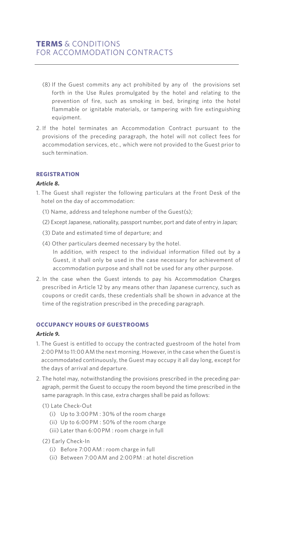- (8) If the Guest commits any act prohibited by any of the provisions set forth in the Use Rules promulgated by the hotel and relating to the prevention of fire, such as smoking in bed, bringing into the hotel flammable or ignitable materials, or tampering with fire extinguishing equipment.
- 2. If the hotel terminates an Accommodation Contract pursuant to the provisions of the preceding paragraph, the hotel will not collect fees for accommodation services, etc., which were not provided to the Guest prior to such termination.

## **REGISTRATION**

#### *Article 8.*

- 1. The Guest shall register the following particulars at the Front Desk of the hotel on the day of accommodation:
	- (1) Name, address and telephone number of the Guest(s);
	- (2) Except Japanese, nationality, passport number, port and date of entry in Japan;
	- (3) Date and estimated time of departure; and
	- (4) Other particulars deemed necessary by the hotel. In addition, with respect to the individual information filled out by a Guest, it shall only be used in the case necessary for achievement of accommodation purpose and shall not be used for any other purpose.
- 2. In the case when the Guest intends to pay his Accommodation Charges prescribed in Article 12 by any means other than Japanese currency, such as coupons or credit cards, these credentials shall be shown in advance at the time of the registration prescribed in the preceding paragraph.

#### **OCCUPANCY HOURS OF GUESTROOMS**

# *Article 9.*

- 1. The Guest is entitled to occupy the contracted guestroom of the hotel from 2:00 PM to 11:00 AM the next morning. However, in the case when the Guest is accommodated continuously, the Guest may occupy it all day long, except for the days of arrival and departure.
- 2. The hotel may, notwithstanding the provisions prescribed in the preceding paragraph, permit the Guest to occupy the room beyond the time prescribed in the same paragraph. In this case, extra charges shall be paid as follows:
	- (1) Late Check-Out
		- (i) Up to 3:00 PM : 30% of the room charge
		- (ii) Up to 6:00 PM : 50% of the room charge
		- (iii) Later than 6:00 PM : room charge in full

#### (2) Early Check-In

- (i) Before 7:00 AM : room charge in full
- (ii) Between 7:00 AM and 2:00 PM : at hotel discretion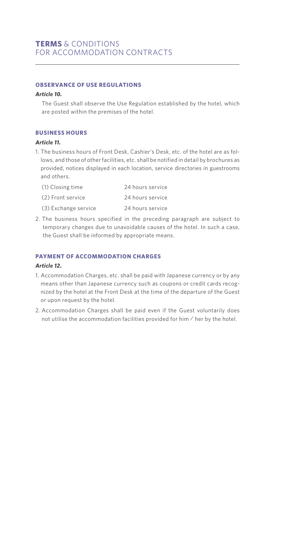#### **OBSERVANCE OF USE REGULATIONS**

#### *Article 10.*

 The Guest shall observe the Use Regulation established by the hotel, which are posted within the premises of the hotel.

#### **BUSINESS HOURS**

#### *Article 11.*

1. The business hours of Front Desk, Cashier's Desk, etc. of the hotel are as follows, and those of other facilities, etc. shall be notified in detail by brochures as provided, notices displayed in each location, service directories in guestrooms and others.

| (1) Closing time     | 24 hours service |
|----------------------|------------------|
| (2) Front service    | 24 hours service |
| (3) Exchange service | 24 hours service |

2. The business hours specified in the preceding paragraph are subject to temporary changes due to unavoidable causes of the hotel. In such a case, the Guest shall be informed by appropriate means.

# **PAYMENT OF ACCOMMODATION CHARGES**

#### *Article 12.*

- 1. Accommodation Charges, etc. shall be paid with Japanese currency or by any means other than Japanese currency such as coupons or credit cards recognized by the hotel at the Front Desk at the time of the departure of the Guest or upon request by the hotel.
- 2. Accommodation Charges shall be paid even if the Guest voluntarily does not utilise the accommodation facilities provided for him / her by the hotel.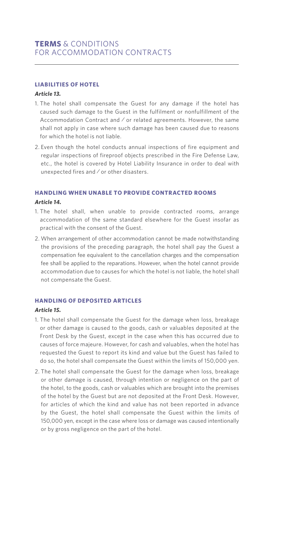## **LIABILITIES OF HOTEL**

#### *Article 13.*

- 1. The hotel shall compensate the Guest for any damage if the hotel has caused such damage to the Guest in the fulfilment or nonfulfillment of the Accommodation Contract and / or related agreements. However, the same shall not apply in case where such damage has been caused due to reasons for which the hotel is not liable.
- 2. Even though the hotel conducts annual inspections of fire equipment and regular inspections of fireproof objects prescribed in the Fire Defense Law, etc., the hotel is covered by Hotel Liability Insurance in order to deal with unexpected fires and / or other disasters.

#### **HANDLING WHEN UNABLE TO PROVIDE CONTRACTED ROOMS**

#### *Article 14.*

- 1. The hotel shall, when unable to provide contracted rooms, arrange accommodation of the same standard elsewhere for the Guest insofar as practical with the consent of the Guest.
- 2. When arrangement of other accommodation cannot be made notwithstanding the provisions of the preceding paragraph, the hotel shall pay the Guest a compensation fee equivalent to the cancellation charges and the compensation fee shall be applied to the reparations. However, when the hotel cannot provide accommodation due to causes for which the hotel is not liable, the hotel shall not compensate the Guest.

## **HANDLING OF DEPOSITED ARTICLES**

#### *Article 15.*

- 1. The hotel shall compensate the Guest for the damage when loss, breakage or other damage is caused to the goods, cash or valuables deposited at the Front Desk by the Guest, except in the case when this has occurred due to causes of force majeure. However, for cash and valuables, when the hotel has requested the Guest to report its kind and value but the Guest has failed to do so, the hotel shall compensate the Guest within the limits of 150,000 yen.
- 2. The hotel shall compensate the Guest for the damage when loss, breakage or other damage is caused, through intention or negligence on the part of the hotel, to the goods, cash or valuables which are brought into the premises of the hotel by the Guest but are not deposited at the Front Desk. However, for articles of which the kind and value has not been reported in advance by the Guest, the hotel shall compensate the Guest within the limits of 150,000 yen, except in the case where loss or damage was caused intentionally or by gross negligence on the part of the hotel.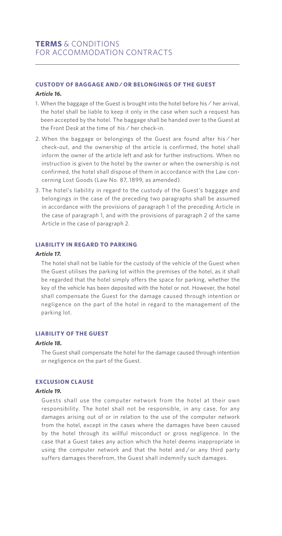# **CUSTODY OF BAGGAGE AND / OR BELONGINGS OF THE GUEST**

#### *Article 16.*

- 1. When the baggage of the Guest is brought into the hotel before his / her arrival, the hotel shall be liable to keep it only in the case when such a request has been accepted by the hotel. The baggage shall be handed over to the Guest at the Front Desk at the time of his / her check-in.
- 2. When the baggage or belongings of the Guest are found after his / her check-out, and the ownership of the article is confirmed, the hotel shall inform the owner of the article left and ask for further instructions. When no instruction is given to the hotel by the owner or when the ownership is not confirmed, the hotel shall dispose of them in accordance with the Law concerning Lost Goods (Law No. 87, 1899, as amended).
- 3. The hotel's liability in regard to the custody of the Guest's baggage and belongings in the case of the preceding two paragraphs shall be assumed in accordance with the provisions of paragraph 1 of the preceding Article in the case of paragraph 1, and with the provisions of paragraph 2 of the same Article in the case of paragraph 2.

#### **LIABILITY IN REGARD TO PARKING**

#### *Article 17.*

 The hotel shall not be liable for the custody of the vehicle of the Guest when the Guest utilises the parking lot within the premises of the hotel, as it shall be regarded that the hotel simply offers the space for parking, whether the key of the vehicle has been deposited with the hotel or not. However, the hotel shall compensate the Guest for the damage caused through intention or negligence on the part of the hotel in regard to the management of the parking lot.

#### **LIABILITY OF THE GUEST**

#### *Article 18.*

 The Guest shall compensate the hotel for the damage caused through intention or negligence on the part of the Guest.

## **EXCLUSION CLAUSE**

#### *Article 19.*

 Guests shall use the computer network from the hotel at their own responsibility. The hotel shall not be responsible, in any case, for any damages arising out of or in relation to the use of the computer network from the hotel, except in the cases where the damages have been caused by the hotel through its willful misconduct or gross negligence. In the case that a Guest takes any action which the hotel deems inappropriate in using the computer network and that the hotel and / or any third party suffers damages therefrom, the Guest shall indemnify such damages.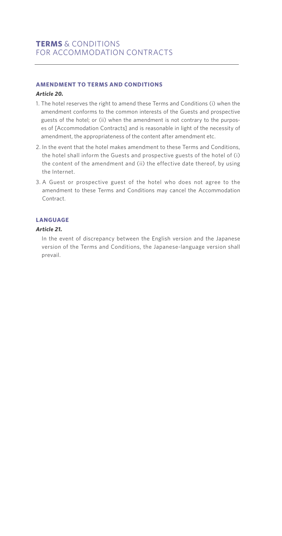## **AMENDMENT TO TERMS AND CONDITIONS**

#### *Article 20.*

- 1. The hotel reserves the right to amend these Terms and Conditions (i) when the amendment conforms to the common interests of the Guests and prospective guests of the hotel; or (ii) when the amendment is not contrary to the purposes of [Accommodation Contracts] and is reasonable in light of the necessity of amendment, the appropriateness of the content after amendment etc.
- 2. In the event that the hotel makes amendment to these Terms and Conditions, the hotel shall inform the Guests and prospective guests of the hotel of (i) the content of the amendment and (ii) the effective date thereof, by using the Internet.
- 3. A Guest or prospective guest of the hotel who does not agree to the amendment to these Terms and Conditions may cancel the Accommodation Contract.

#### **LANGUAGE**

#### *Article 21.*

 In the event of discrepancy between the English version and the Japanese version of the Terms and Conditions, the Japanese-language version shall prevail.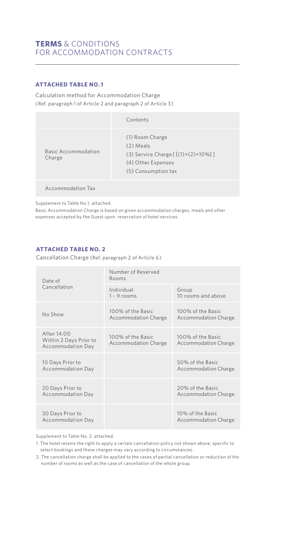# **TERMS** & CONDITIONS FOR ACCOMMODATION CONTRACTS

# **ATTACHED TABLE NO. 1**

Calculation method for Accommodation Charge (Ref. paragraph 1 of Article 2 and paragraph 2 of Article 3)

|                               | Contents                                                                                                                |
|-------------------------------|-------------------------------------------------------------------------------------------------------------------------|
| Basic Accommodation<br>Charge | (1) Room Charge<br>(2) Meals<br>(3) Service Charge $[{(1)+(2)\times10\%}]$<br>(4) Other Expenses<br>(5) Consumption tax |
|                               |                                                                                                                         |

Accommodation Tax

Supplement to Table No.1, attached.

Basic Accommodation Charge is based on given accommodation charges, meals and other expenses accepted by the Guest upon reservation of hotel services.

# **ATTACHED TABLE NO. 2**

Cancellation Charge (Ref. paragraph 2 of Article 6)

| Date of<br>Cancellation                                    | Number of Reserved<br>Rooms                      |                                                  |  |
|------------------------------------------------------------|--------------------------------------------------|--------------------------------------------------|--|
|                                                            | Individual<br>$1 - 9$ rooms                      | Group<br>10 rooms and above                      |  |
| No Show                                                    | 100% of the Basic<br><b>Accommodation Charge</b> | 100% of the Basic<br><b>Accommodation Charge</b> |  |
| After 14:00<br>Within 2 Days Prior to<br>Accommodation Day | 100% of the Basic<br><b>Accommodation Charge</b> | 100% of the Basic<br><b>Accommodation Charge</b> |  |
| 10 Days Prior to<br>Accommodation Day                      |                                                  | 50% of the Basic<br><b>Accommodation Charge</b>  |  |
| 20 Days Prior to<br>Accommodation Day                      |                                                  | 20% of the Basic<br><b>Accommodation Charge</b>  |  |
| 30 Days Prior to<br>Accommodation Day                      |                                                  | 10% of the Basic<br><b>Accommodation Charge</b>  |  |

Supplement to Table No. 2, attached.

1. The hotel retains the right to apply a certain cancellation policy not shown above, specific to select bookings and these charges may vary according to circumstances.

2. The cancellation charge shall be applied to the cases of partial cancellation or reduction of the number of rooms as well as the case of cancellation of the whole group.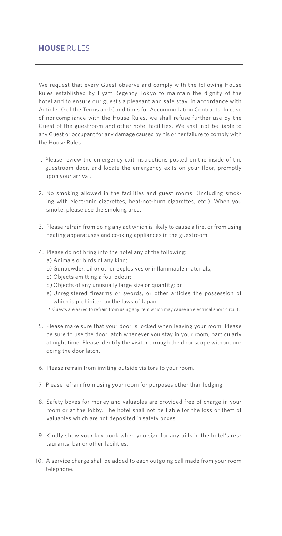# **HOUSE** RULES

We request that every Guest observe and comply with the following House Rules established by Hyatt Regency Tokyo to maintain the dignity of the hotel and to ensure our guests a pleasant and safe stay, in accordance with Article 10 of the Terms and Conditions for Accommodation Contracts. In case of noncompliance with the House Rules, we shall refuse further use by the Guest of the guestroom and other hotel facilities. We shall not be liable to any Guest or occupant for any damage caused by his or her failure to comply with the House Rules.

- 1. Please review the emergency exit instructions posted on the inside of the guestroom door, and locate the emergency exits on your floor, promptly upon your arrival.
- 2. No smoking allowed in the facilities and guest rooms. (Including smoking with electronic cigarettes, heat-not-burn cigarettes, etc.). When you smoke, please use the smoking area.
- 3. Please refrain from doing any act which is likely to cause a fire, or from using heating apparatuses and cooking appliances in the guestroom.
- 4. Please do not bring into the hotel any of the following:
	- a) Animals or birds of any kind;
	- b) Gunpowder, oil or other explosives or inflammable materials;
	- c) Objects emitting a foul odour;
	- d) Objects of any unusually large size or quantity; or
	- e) Unregistered firearms or swords, or other articles the possession of which is prohibited by the laws of Japan.
	- Guests are asked to refrain from using any item which may cause an electrical short circuit.
- 5. Please make sure that your door is locked when leaving your room. Please be sure to use the door latch whenever you stay in your room, particularly at night time. Please identify the visitor through the door scope without undoing the door latch.
- 6. Please refrain from inviting outside visitors to your room.
- 7. Please refrain from using your room for purposes other than lodging.
- 8. Safety boxes for money and valuables are provided free of charge in your room or at the lobby. The hotel shall not be liable for the loss or theft of valuables which are not deposited in safety boxes.
- 9. Kindly show your key book when you sign for any bills in the hotel's restaurants, bar or other facilities.
- 10. A service charge shall be added to each outgoing call made from your room telephone.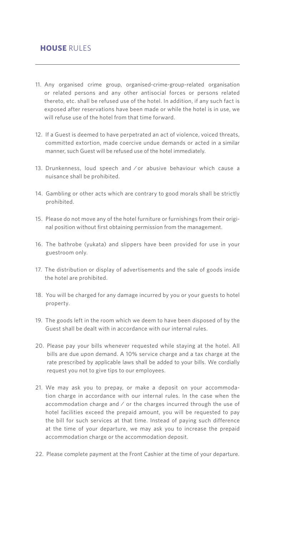# **HOUSE** RULES

- 11. Any organised crime group, organised-crime-group-related organisation or related persons and any other antisocial forces or persons related thereto, etc. shall be refused use of the hotel. In addition, if any such fact is exposed after reservations have been made or while the hotel is in use, we will refuse use of the hotel from that time forward.
- 12. If a Guest is deemed to have perpetrated an act of violence, voiced threats, committed extortion, made coercive undue demands or acted in a similar manner, such Guest will be refused use of the hotel immediately.
- 13. Drunkenness, loud speech and / or abusive behaviour which cause a nuisance shall be prohibited.
- 14. Gambling or other acts which are contrary to good morals shall be strictly prohibited.
- 15. Please do not move any of the hotel furniture or furnishings from their original position without first obtaining permission from the management.
- 16. The bathrobe (yukata) and slippers have been provided for use in your guestroom only.
- 17. The distribution or display of advertisements and the sale of goods inside the hotel are prohibited.
- 18. You will be charged for any damage incurred by you or your guests to hotel property.
- 19. The goods left in the room which we deem to have been disposed of by the Guest shall be dealt with in accordance with our internal rules.
- 20. Please pay your bills whenever requested while staying at the hotel. All bills are due upon demand. A 10% service charge and a tax charge at the rate prescribed by applicable laws shall be added to your bills. We cordially request you not to give tips to our employees.
- 21. We may ask you to prepay, or make a deposit on your accommodation charge in accordance with our internal rules. In the case when the accommodation charge and / or the charges incurred through the use of hotel facilities exceed the prepaid amount, you will be requested to pay the bill for such services at that time. Instead of paying such difference at the time of your departure, we may ask you to increase the prepaid accommodation charge or the accommodation deposit.
- 22. Please complete payment at the Front Cashier at the time of your departure.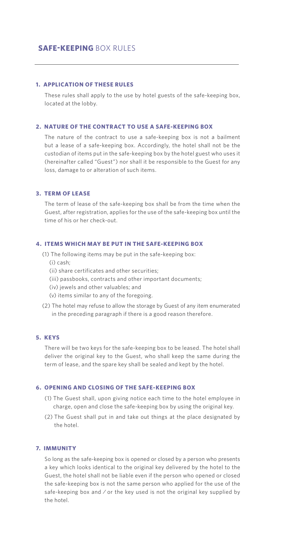# **SAFE-KEEPING BOX RULES**

#### **1. APPLICATION OF THESE RULES**

 These rules shall apply to the use by hotel guests of the safe-keeping box, located at the lobby.

#### **2. NATURE OF THE CONTRACT TO USE A SAFE-KEEPING BOX**

 The nature of the contract to use a safe-keeping box is not a bailment but a lease of a safe-keeping box. Accordingly, the hotel shall not be the custodian of items put in the safe-keeping box by the hotel guest who uses it (hereinafter called "Guest") nor shall it be responsible to the Guest for any loss, damage to or alteration of such items.

### **3. TERM OF LEASE**

 The term of lease of the safe-keeping box shall be from the time when the Guest, after registration, applies for the use of the safe-keeping box until the time of his or her check-out.

#### **4. ITEMS WHICH MAY BE PUT IN THE SAFE-KEEPING BOX**

- (1) The following items may be put in the safe-keeping box: (i) cash;
	- (ii) share certificates and other securities;
	- (iii) passbooks, contracts and other important documents;
	- (iv) jewels and other valuables; and
	- (v) items similar to any of the foregoing.
- (2) The hotel may refuse to allow the storage by Guest of any item enumerated in the preceding paragraph if there is a good reason therefore.

#### **5. KEYS**

 There will be two keys for the safe-keeping box to be leased. The hotel shall deliver the original key to the Guest, who shall keep the same during the term of lease, and the spare key shall be sealed and kept by the hotel.

#### **6. OPENING AND CLOSING OF THE SAFE-KEEPING BOX**

- (1) The Guest shall, upon giving notice each time to the hotel employee in charge, open and close the safe-keeping box by using the original key.
- (2) The Guest shall put in and take out things at the place designated by the hotel.

## **7. IMMUNITY**

 So long as the safe-keeping box is opened or closed by a person who presents a key which looks identical to the original key delivered by the hotel to the Guest, the hotel shall not be liable even if the person who opened or closed the safe-keeping box is not the same person who applied for the use of the safe-keeping box and / or the key used is not the original key supplied by the hotel.